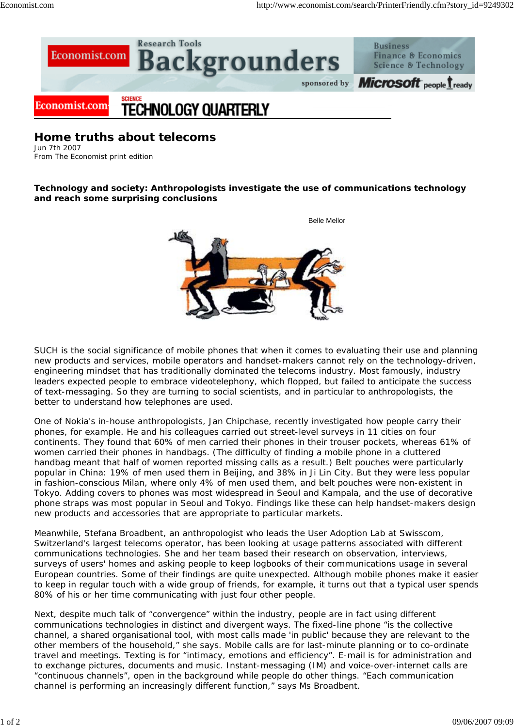

**Home truths about telecoms** Jun 7th 2007

From The Economist print edition

**Technology and society: Anthropologists investigate the use of communications technology and reach some surprising conclusions**



SUCH is the social significance of mobile phones that when it comes to evaluating their use and planning new products and services, mobile operators and handset-makers cannot rely on the technology-driven, engineering mindset that has traditionally dominated the telecoms industry. Most famously, industry leaders expected people to embrace videotelephony, which flopped, but failed to anticipate the success of text-messaging. So they are turning to social scientists, and in particular to anthropologists, the better to understand how telephones are used.

One of Nokia's in-house anthropologists, Jan Chipchase, recently investigated how people carry their phones, for example. He and his colleagues carried out street-level surveys in 11 cities on four continents. They found that 60% of men carried their phones in their trouser pockets, whereas 61% of women carried their phones in handbags. (The difficulty of finding a mobile phone in a cluttered handbag meant that half of women reported missing calls as a result.) Belt pouches were particularly popular in China: 19% of men used them in Beijing, and 38% in Ji Lin City. But they were less popular in fashion-conscious Milan, where only 4% of men used them, and belt pouches were non-existent in Tokyo. Adding covers to phones was most widespread in Seoul and Kampala, and the use of decorative phone straps was most popular in Seoul and Tokyo. Findings like these can help handset-makers design new products and accessories that are appropriate to particular markets.

Meanwhile, Stefana Broadbent, an anthropologist who leads the User Adoption Lab at Swisscom, Switzerland's largest telecoms operator, has been looking at usage patterns associated with different communications technologies. She and her team based their research on observation, interviews, surveys of users' homes and asking people to keep logbooks of their communications usage in several European countries. Some of their findings are quite unexpected. Although mobile phones make it easier to keep in regular touch with a wide group of friends, for example, it turns out that a typical user spends 80% of his or her time communicating with just four other people.

Next, despite much talk of "convergence" within the industry, people are in fact using different communications technologies in distinct and divergent ways. The fixed-line phone "is the collective channel, a shared organisational tool, with most calls made 'in public' because they are relevant to the other members of the household," she says. Mobile calls are for last-minute planning or to co-ordinate travel and meetings. Texting is for "intimacy, emotions and efficiency". E-mail is for administration and to exchange pictures, documents and music. Instant-messaging (IM) and voice-over-internet calls are "continuous channels", open in the background while people do other things. "Each communication channel is performing an increasingly different function," says Ms Broadbent.